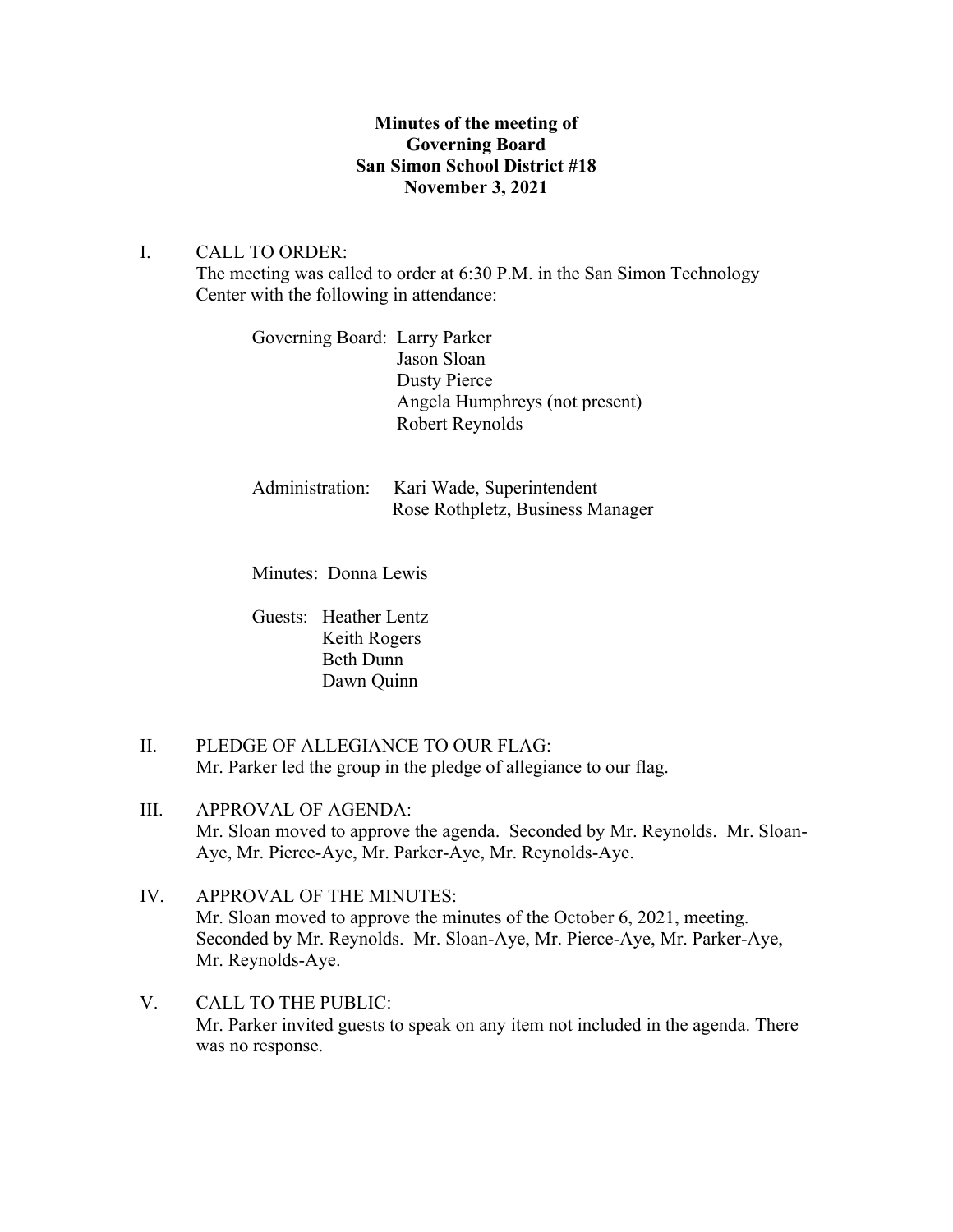# **Minutes of the meeting of Governing Board San Simon School District #18 November 3, 2021**

## I. CALL TO ORDER:

The meeting was called to order at 6:30 P.M. in the San Simon Technology Center with the following in attendance:

Governing Board: Larry Parker Jason Sloan Dusty Pierce Angela Humphreys (not present) Robert Reynolds

Administration: Kari Wade, Superintendent Rose Rothpletz, Business Manager

Minutes: Donna Lewis

Guests: Heather Lentz Keith Rogers Beth Dunn Dawn Quinn

- II. PLEDGE OF ALLEGIANCE TO OUR FLAG: Mr. Parker led the group in the pledge of allegiance to our flag.
- III. APPROVAL OF AGENDA: Mr. Sloan moved to approve the agenda. Seconded by Mr. Reynolds. Mr. Sloan-Aye, Mr. Pierce-Aye, Mr. Parker-Aye, Mr. Reynolds-Aye.
- IV. APPROVAL OF THE MINUTES: Mr. Sloan moved to approve the minutes of the October 6, 2021, meeting. Seconded by Mr. Reynolds. Mr. Sloan-Aye, Mr. Pierce-Aye, Mr. Parker-Aye, Mr. Reynolds-Aye.
- V. CALL TO THE PUBLIC: Mr. Parker invited guests to speak on any item not included in the agenda. There was no response.